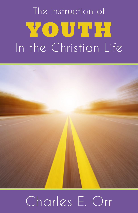# The Instruction of YOUTH In the Christian Life



## Charles E. Orr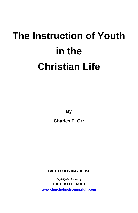## **The Instruction of Youth in the Christian Life**

**By**

**Charles E. Orr** 

**FAITH PUBLISHING HOUSE**

*Digitally Published by* **THE GOSPEL TRUTH www.churchofgodeveninglight.com**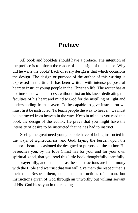## **Preface**

All book and booklets should have a preface. The intention of the preface is to inform the reader of the design of the author. Why did he write the book? Back of every design is that which occasions the design. The design or purpose of the author of this writing is expressed in the title. It has been written with intense purpose of heart to instruct young people in the Christian life. The writer has at no time sat down at his desk without first on his knees dedicating the faculties of his heart and mind to God for the instilling of light and understanding from heaven. To be capable to give instruction we must first be instructed. To teach people the way to heaven, we must be instructed from heaven in the way. Keep in mind as you read this book the design of the author. He prays that you might have the intensity of desire to be instructed that he has had to instruct.

Seeing the great need young people have of being instructed in the ways of righteousness, and God, laying the burden upon the author's heart, occasioned the designed or purpose of the author. He beseeches you, by the love Christ has for you, and for your own spiritual good, that you read this little book thoughtfully, carefully, and prayerfully, and that as far as these instructions are in harmony with the Bible and we trust that you will give them the respect that is their due. Respect them, not as the instructions of a man, but instructions given of God through an unworthy but willing servant of His. God bless you in the reading.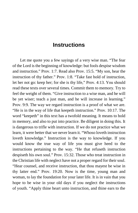## **Instructions**

Let me quote you a few sayings of a very wise man. "The fear of the Lord is the beginning of knowledge: but fools despise wisdom and instruction." Prov. 1:7. Read also Prov. 15:5. "My son, hear the instruction of thy father." Prov. 1:8. "Take fast hold of instruction, let her not go: keep her; for she is thy life," Prov. 4:13. You should read these texts over several times. Commit them to memory. Try to feel the weight of them. "Give instruction to a wise man, and he will be yet wiser; teach a just man, and he will increase in learning." Prov. 9:9. The way we regard instruction is a proof of what we are. "He is in the way of life that keepeth instruction." Prov. 10:17. The word "keepeth" in this text has a twofold meaning. It means to hold in memory, and also to put into practice. Be diligent in doing this. It is dangerous to trifle with instruction. If we do not practice what we learn, it were better that we never learn it. "Whoso loveth instruction loveth knowledge." Instruction is the way to knowledge. If you would know the true way of life you must give heed to the instructions pertaining to the way. "He that refuseth instruction despiseth his own soul." Prov. 15:32. Those who treat instruction in the Christian life with neglect have not a proper regard for their soul. "Hear counsel, and receive instruction, that thou mayest be wise in thy latter end." Prov. 19:20. Now is the time, young man and woman, to lay the foundation for your later life. It is in vain that you hope to be wise in your old days if you neglect the instructions of youth. "Apply thine heart unto instruction, and thine ears to the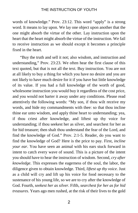words of knowledge." Prov. 23:12. This word "apply" is a strong word. It means to lay upon. We lay one object upon another that the one might absorb the virtue of the other. Lay instruction upon the heart that the heart might absorb the virtue of the instruction. We fail to receive instruction as we should except it becomes a principle fixed in the heart.

"Buy the truth and sell it not; also wisdom, and instruction and understanding," Prov. 23:23. We often hear the first clause of this text quoted, but that is not all the text. Buy instruction. You are not at all likely to buy a thing for which you have no desire and you are not likely to have much desire for it if you have but little knowledge of its value. If you had a full knowledge of the worth of good, wholesome instruction you would buy it regardless of the cost price, and you would not barter it away under any conditions. Please read attentively the following words: "My son, if thou wilt receive my words, and hide my commandments with thee: so that thou incline thine ear unto wisdom, and apply thine heart to understanding; yea, if thou criest after knowledge, and liftest up thy voice for understanding; if thou seekest her as silver, and searchest for her as for hid treasure; then shalt thou understand the fear of the Lord, and find the knowledge of God." Prov. 2:1-5. Reader, do you want to find the knowledge of God? Here is the price to pay. First, *incline your ear*. You have seen an animal with his ears stuck forward in intent to catch every wave of sound. This is a picture of the intent you should have to hear the instruction of wisdom. Second, *cry after knowledge*. This expresses the eagerness of the soul, the labor, the diligence given to obtain knowledge. Third, *liftest up thy voice*. Just as a child will cry and lift up his voice for food necessary to the sustenance of his young life, so we are to cry after the knowledge of God. Fourth, *seekest her as silver*. Fifth, *searchest for her as for hid treasures*. Years ago men rushed, at the risk of their lives to the gold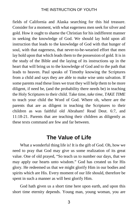fields of California and Alaska searching for this hid treasure. Consider for a moment, with what eagerness men seek for silver and gold. How it ought to shame the Christian for his indifferent manner in seeking the knowledge of God. We should lay hold upon all instruction that leads to the knowledge of God with that hunger of soul, with that eagerness, that never-to-be-wearied effort that men lay hold upon that which leads them to the possession of gold. It is in the study of the Bible and the laying of its instructions up in the heart that will bring us to the knowledge of God and to the path that leads to heaven. Paul speaks of Timothy knowing the Scriptures from a child and says they are able to make wise unto salvation. If some parents read these lines we trust they will help them to be more diligent, if need be, (and the probability there needs be) in teaching the Holy Scriptures to their child. Take time, *take time, TAKE TIME* to teach your child the Word of God. Where oh, where are the parents that are as diligent in teaching the Scriptures to their children as was faithful old Abraham! Read Deut. 6:7, and 11:18-21. Parents that are teaching their children as diligently as these texts command are few and far between.

## **The Value of Life**

What a wonderful thing life is! It is the gift of God. Oh, how we need to pray that God may give us some realization of its great value. One of old prayed, "So teach us to number our days, that we may apply our hearts unto wisdom." God has created us for His glory. He redeemed us that we might glorify Him in our bodies and spirits which are His. Every moment of our life should, therefore be spent in such a manner as will best glorify Him.

God hath given us a short time here upon earth, and upon this short time eternity depends. Young man, young woman, you are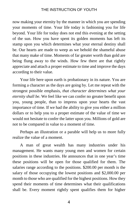now making your eternity by the manner in which you are spending your moments of time. Your life today is fashioning you for life beyond. Your life for today does not end this evening at the setting of the sun. How you have spent its golden moments has left its stamp upon you which determines what your eternal destiny shall be. Our hearts are made to weep as we behold the shameful abuse that many make of time. Moments of far greater worth than gold are being flung away to the winds. How few there are that rightly appreciate and attach a proper estimate to time and improve the days according to their value.

Your life here upon earth is probationary in its nature. You are forming a character as the days are going by. Let me repeat with the strongest possible emphasis, *that character determines what your eternity shall be*. We feel like we can confer no greater benefit upon you, young people, than to impress upon your hearts the vast importance of time. If we had the ability to give you either a million dollars or to help you to a proper estimate of the value of time we would not hesitate to confer the latter upon you. Millions of gold are not to be compared in value to a moment of time.

Perhaps an illustration or a parable will help us to more fully realize the value of a moment.

A man of great wealth has many industries under his management. He wants many young men and women for certain positions in these industries. He announces that in one year's time these positions will be open for those qualified for them. The salaries range according to the positions. \$200.00 per month is the salary of those occupying the lowest positions and \$2,000.00 per month to those who are qualified for the highest positions. How they spend their moments of time determines what their qualifications shall be. Every moment rightly spent qualifies them for higher

4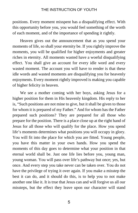positions. Every moment misspent has a disqualifying effect. With this opportunity before you, you would feel something of the worth of each moment, and of the importance of spending it rightly.

Heaven gives out the announcement that as you spend your moments of life, so shall your eternity be. If you rightly improve the moments, you will be qualified for higher enjoyments and greater riches in eternity. All moments wasted have a woeful disqualifying effect. You shall give an account for every idle word and every wasted moment. The account you will have to render is that these idle words and wasted moments are disqualifying you for heavenly enjoyments. Every moment rightly improved is making you capable of higher felicity in heaven.

We see a mother coming with her boys, asking Jesus for a higher position for them in His heavenly kingdom. His reply to her is, "Such positions are not mine to give, but it shall be given to those for whom it is prepared of my Father." And for whom has the Father prepared such positions? They are prepared for all those who prepare for the position. There is a place close up at the right hand of Jesus for all those who will qualify for the place. How you spend life's moments determines what positions you will occupy in glory. You will fit into the place for which you are fitted. Young people, you have this matter in your own hands. How you spend the moments of this day goes to determine what your position in that eternal world shall be. Just one life lies before you, young man, young woman. You will pass over life's pathway but once; yes, but once. And every step you take never can be taken over. You do not have the privilege of trying it over again. If you make a misstep the best it can do, and it should do this, is to help you to not make another one like it. It is true that Jesus can and will forgive us all our missteps, but the effect they leave upon our character will stand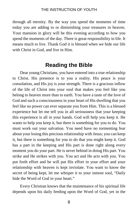through all eternity. By the way you spend the moments of time today you are adding to or diminishing your treasures in heaven. Your mansion in glory will be this evening according to how you spend the moments of the day. There is great responsibility in life. It means much to live. Thank God it is blessed when we hide our life with Christ in God, and live in Him.

## **Reading the Bible**

Dear young Christians, you have entered into a true relationship to Christ. His presence is to you a reality. His peace is your consolation, and His joy is your strength. There is a gracious inflow of the life of Christ into your soul that makes you feel like you belong to heaven more than to earth. You have a taste of the love of God and such a consciousness in your heart of His dwelling that you feel like no power can ever separate you from Him. This is a blessed experience but let me tell you in all seriousness that your keeping this experience is all in your hands. God will help you keep it. He wants to help you keep it, but there is something for you to do. You must work out your salvation. You need have no tormenting fear about your losing this precious relationship with Jesus; you can keep it, but there is something for you to do that you might keep it. God has a part in the keeping and His part is done right along every moment you do your part. He is never behind in doing His part. You strike and He strikes with you. You act and He acts with you. You put forth effort and he will put His effort in your effort and your relationship with heaven is kept inviolate. You want to know the secret of being kept, let me whisper it to your inmost soul, "Daily hide the Word of God in your heart."

Every Christian knows that the maintenance of his spiritual life depends upon his daily feeding upon the Word of God, yet in the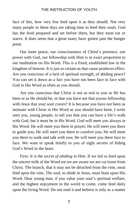face of this, how very few feed upon it as they should. Not very many people in these days are taking time to feed their souls. God has the food prepared and set before them, but they must eat or starve. It does seem that a great many have gotten past the hunger point.

Our inner peace, our consciousness of Christ's presence, our power with God, our fellowship with Him is in exact proportion to our meditation on His Word. This is a fixed, established law in the kingdom of heaven. It is just as certain as that cause produces effect. Are you conscious of a lack of spiritual strength, of abiding peace? You can set it down as a fact you have not been face to face with God in His Word as often as you should.

Are you conscious that Christ is not as real to you as He has been or as He should be, or that you have not that joyous fellowship with Jesus that your soul craves? It is because you have not been as intimate with Christ in His Word as you should have been. I write unto you, young people, to tell you that you can have a life's walk with God, but it must be in His Word. God will meet you always in His Word. He will meet you there in prayer; He will meet you there to guide you; He will meet you there to comfort you; He will meet you there to walk and talk with you; He will meet you there face to face. We want to speak briefly to you of eight secrets of hiding God's Word in the heart.

First: *It is the secret of abiding in Him*. If we fail to feed upon the sincere milk of the Word ere we are aware we are cut loose from Christ. The branch, that it may not be detached from the vine, must feed upon the vine. The soul, to abide in Jesus, must feast upon His Word. Dear young man, if you value your soul's spiritual welfare, and the highest enjoyment in the world to come, come feed daily upon the living Word. Do not read it and believe it only as a matter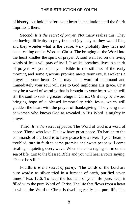of history, but hold it before your heart in meditation until the Spirit imprints it there.

Second: *It is the secret of prayer.* Not many realize this. They are having difficulty to pray free and joyously as they would like, and they wonder what is the cause. Very probably they have not been feeding on the Word of Christ. The bringing of the Word into the heart kindles the spirit of prayer. A soul well fed on the living words of Jesus will pray of itself. It walks, breathes, lives in a spirit of prayer. As you open your Bible in the stillness of the early morning and some gracious promise meets your eye, it awakens a prayer in your heart. Or it may be a word of command and immediately your soul will rise to God imploring His grace. Or it may be a word of warning that is brought to your heart which will stir the soul to seek a greater refuge in Christ. Or it may be a word bringing hope of a blessed immortality with Jesus, which will gladden the heart with the prayer of thanksgiving. The young man or woman who knows God as revealed in His Word is mighty in prayer.

Third: *It is the secret of peace*. The Word of God is a word of peace. Those who love His law have great peace. To harken to the commands of the Lord is to have peace like a river. If your heart is troubled, turn in faith to some promise and sweet peace will come stealing in quieting every wave. When there is a raging storm on the sea of life, turn to the blessed Bible and you will hear a voice saying, "Peace be still."

Fourth: *It is the secret of purity*. "The words of the Lord are pure words: as silver tried in a furnace of earth, purified seven times." Psa. 12:6. To keep the fountain of your life pure, keep it filled with the pure Word of Christ. The life that flows from a heart in which the Word of Christ is dwelling richly is a pure life. The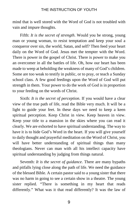mind that is well stored with the Word of God is not troubled with vain and impure thoughts.

Fifth: *It is the secret of strength*. Would you be strong, young man or young woman, to resist temptation and keep your soul a conqueror over sin, the world, Satan, and self? Then feed your heart daily on the Word of God. Jesus met the tempter with the Word. There is power in the gospel of Christ. There is power to make you an overcomer in all the battles of life. Oh, how our heart has been made to weep at beholding the weakness of many of God's children. Some are too weak to testify in public, or to pray, or teach a Sunday school class. A few good feedings upon the Word of God will put strength in them. Your power to do the work of God is in proportion to your feeding on the words of Christ.

Sixth: *It is the secret of perception*. If you would have a clear view of the true path of life, read the Bible very much. It will be a light to guide your feet. In these days we need to keep a keen spiritual perception. Keep Christ in view. Keep heaven in view. Keep your title to a mansion in the skies where you can read it clearly. We are exhorted to have spiritual understanding. The way to have it is to hide God's Word in the heart. If you will give yourself to daily thought and prayerful meditation on the Word of Christ, you will have better understanding of spiritual things than many theologians. Never can man with all his intellect capacity have spiritual understanding by judging from things natural.

Seventh: *It is the secret of guidance*. There are many bypaths and pitfalls lying close along the path of life. We need the guidance of the blessed Bible. A certain pastor said to a young sister that there was no harm in going to see a certain show in a theatre. The young sister replied. "There is something in my heart that reads differently." What was it that read differently? It was the law of

9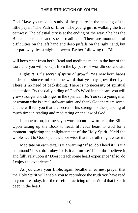God. Have you made a study of the picture in the heading of the little paper, "The Path of Life?" The young girl is walking the true pathway. The celestial city is at the ending of the way. She has the Bible in her hand and she is reading it. There are mountains of difficulties on the left hand and deep pitfalls on the right hand, but her pathway lies straight between. By her following the Bible, she

will keep clear from both. Read and meditate much in the law of the Lord and you will be kept from the by-paths of worldliness and sin.

Eight: *It is the secret of spiritual growth*. "As new born babes desire the sincere milk of the word that ye may grow thereby." There is no need of backsliding. There is no necessity of spiritual declension. By the daily hiding of God's Word in the heart, you will grow stronger and stronger in the spiritual life. You see a young man or woman who is a real stalwart saint, and thank God there are some, and he will tell you that the secret of his strength is the spending of much time in reading and meditating on the law of God.

In conclusion, let me say a word about how to read the Bible. Upon taking up the Book to read, lift your heart to God for a moment imploring the enlightenment of the Holy Spirit. Yield the whole heart to God; open the door wide that the truth might enter in.

Meditate on each text. Is it a warning? If so, do I heed it? Is it a command? If so, do I obey it? Is it a promise? If so, do I believe it and fully rely upon it? Does it teach some heart experience? If so, do I enjoy the experience?

As you close your Bible, again breathe an earnest prayer that the Holy Spirit will enable you to reproduce the truth you have read in your life today. It is the careful practicing of the Word that fixes it deep in the heart.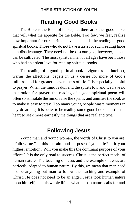## **Reading Good Books**

The Bible is the Book of books, but there are other good books that will whet the appetite for the Bible. Too few, we fear, realize how important for our spiritual advancement is the reading of good spiritual books. Those who do not have a taste for such reading labor at a disadvantage. They need not be discouraged, however, a taste can be cultivated. The most spiritual men of all ages have been those who had an ardent love for reading spiritual books.

The reading of a good spiritual book invigorates the intellect; warms the affections; begets in us a desire for more of God's fullness; and for greater heavenliness of life. It is especially helpful to prayer. When the mind is dull and the spirits low and we have no inspiration for prayer, the reading of a good spiritual poem will often so stimulate the mind, raise the spirits, and animate the soul, as to make it easy to pray. Too many young people waste moments in day-dreaming. It is better to be reading some good book that stirs the heart to seek more earnestly the things that are real and true.

## **Following Jesus**

Young man and young woman, the words of Christ to you are, "Follow me." Is this the aim and purpose of your life? Is it your highest ambition? Will you make this the dominant purpose of your efforts? It is the only road to success. Christ is the perfect model of human nature. The teaching of Jesus and the example of Jesus are perfectly adapted to human nature. By this, we mean that man need not be anything but man to follow the teaching and example of Christ. He does not need to be an angel. Jesus took human nature upon himself, and his whole life is what human nature calls for and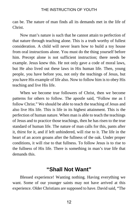can be. The nature of man finds all its demands met in the life of Christ.

Now man's nature is such that he cannot attain to perfection of that nature through teaching alone. This is a truth worthy of fullest consideration. A child will never learn how to build a toy house from oral instructions alone. You must do the thing yourself before him. Precept alone is not sufficient instruction; there needs be example. Jesus knew this. He not only gave a code of moral laws, but He also lived out these laws in His human life. Then, young people, you have before you, not only the teachings of Jesus, but you have His example of life also. Now to follow him is to obey His teaching and live His life.

When we become true followers of Christ, then we become patterns for others to follow. The apostle said, "Follow me as I follow Christ." We should be able to teach the teaching of Jesus and also live His life. This is life in its highest attainment. This is the perfection of human nature. When man is able to teach the teachings of Jesus and to practice those teachings, then he has risen to the true standard of human life. The nature of man calls for this, pants after it, thirst for it, and if left unhindered, will rise to it. The life in the heart of an acorn groans after the fullness of the oak. Under proper conditions, it will rise to that fullness. To follow Jesus is to rise to the fullness of His life. There is something in man's true life that demands this.

## **"Shall Not Want"**

Blessed experience! Wanting nothing. Having everything we want. Some of our younger saints may not have arrived at this experience. Older Christians are supposed to have. David said, "The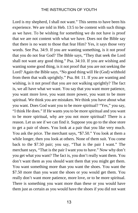Lord is my shepherd, I shall not want." This seems to have been his experience. We are told in Heb. 13:5 to be content with such things as we have. To be wishing for something we do not have is proof that we are not content with what we have. Does not the Bible say that there is no want to those that fear Him? Yes, it says those very words. See Psa. 34:9. If you are wanting something, is it not proof that you do not fear God? The Bible says, "They that seek the Lord shall not want any good thing." Psa. 34:10. If you are wishing and wanting some good thing, is it not proof that you are not seeking the Lord? Again the Bible says, "No good thing will He (God) withhold from them that walk uprightly." Psa. 84: 11. If you are wanting and wishing, is it not proof that you are not walking uprightly? The fact is, we all have what we want. You say that you want more patience, you want more love, you want more power, you want to be more spiritual. We think you are mistaken. We think you have about what you want. Does God want you to be more spiritual? "Yes," you say, "I think He does." If He wants you to be more spiritual and you want to be more spiritual, why are you not more spiritual? There is a reason. Let us see if we can find it. Suppose you go to the shoe store to get a pair of shoes. You look at a pair that you like very much. You ask the price. The merchant says, "\$7.50." You look at them a while longer, then you look at others. None of them suit. You come back to the \$7.50 pair; you say, "That is the pair I want." The merchant says, "That is the pair I want you to have." Now why don't you get what you want? The fact is, you don't really want them. You don't want them as you should want them that you might get them. You want something more than you want the shoes. You want the \$7.50 more than you want the shoes or you would get them. You really don't want more patience, more love, or to be more spiritual. There is something you want more than these or you would have them just as certain as you would have the shoes if you did not want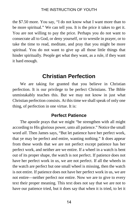the \$7.50 more. You say, "I do not know what I want more than to be more spiritual." We can tell you. It is the price it takes to get it. You are not willing to pay the price. Perhaps you do not want to consecrate all to God, or deny yourself, or to wrestle in prayer, or to take the time to read, meditate, and pray that you might be more spiritual. You do not want to give up all those little things that hinder spiritually. People get what they want, as a rule, if they want it hard enough.

## **Christian Perfection**

We are taking for granted that you believe in Christian perfection. It is our privilege to be perfect Christians. The Bible unmistakably teaches this. But we may not know in just what Christian perfection consists. At this time we shall speak of only one thing, of perfection in one virtue. It is:

## **Perfect Patience**

The apostle prays that we might "be strengthen with all might according to His glorious power, unto all patience." Notice the small word *all*. Then James says, "But let patience have her perfect work, that ye may be perfect and entire, wanting nothing." It does appear from these words that we are not perfect except patience has her perfect work, and neither are we entire. If a wheel in a watch is bent out of its proper shape, the watch is not perfect. If patience does not have her perfect work in us, we are not perfect. If all the wheels in the watch are perfect but one small wheel is missing, then the watch is not entire. If patience does not have her perfect work in us, we are not entire—neither perfect nor entire. Now we are to give to every text their proper meaning. This text does not say that we are not to have our patience tried, but it does say that when it is tried, to let it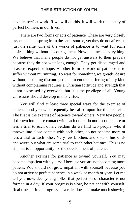have its perfect work. If we will do this, it will work the beauty of perfect holiness in our lives.

There are two forms or acts of patience. These are very closely associated and spring from the same source, yet they do not affect us just the same. One of the works of patience is to wait for some desired thing without discouragement. Now this means everything. We believe that many people do not get answers to their prayers because they do not wait long enough. They get discouraged and cease to expect or hope. Another form or work of patience is to suffer without murmuring. To wait for something we greatly desire without becoming discouraged and to endure suffering of any kind without complaining requires a Christian fortitude and strength that is not possessed by everyone, but it is the privilege of all. Young Christians should develop in this virtue.

You will find at least three special ways for the exercise of patience and you will frequently be called upon for this exercise. The first is the exercise of patience toward others. Very few people, if thrown into close contact with each other, do not become more or less a trial to each other. Seldom do we find two people, who if thrown into close contact with each other, do not become more or less a trial to each other. Very few brothers and sisters, husbands and wives but what are some trial to each other betimes. This is no sin, but is an opportunity for the development of patience.

Another exercise for patience is toward yourself. You may become impatient with yourself because you are not becoming more patient. You should not grow impatient with yourself because you do not arrive at perfect patience in a week or month or year. Let me tell you now, dear young folks, that perfection of character is not formed in a day. If your progress is slow, be patient with yourself. Real true spiritual progress, as a rule, does not make much showing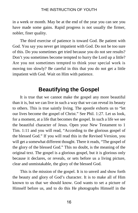in a week or month. May be at the end of the year you can see you have made some gains. Rapid progress is not usually the firmer, nobler, finer quality.

The third exercise of patience is toward God. Be patient with God. You say you never get impatient with God. Do not be too sure of this. Do you sometimes get tried because you do not see results? Don't you sometimes become tempted to hurry the Lord up a little? Are you not sometimes tempted to think your special work is moving too slowly? Be careful in this that you do not get a little impatient with God. Wait on Him with patience.

## **Beautifying the Gospel**

It is true that we cannot make the gospel any more beautiful than it is, but we can live in such a way that we can reveal its beauty to others. This is true saintly living. The apostle exhorts us to "let our lives become the gospel of Christ." See Phil. 1:27. Let us look, for a moment, at a life that becomes the gospel. In such a life we see the beautiful character of Jesus. Open your New Testament to 1 Tim. 1:11 and you will read, "According to the glorious gospel of the blessed God." If you will read this in the Revised Version, you will get a somewhat different thought. There it reads, "The gospel of the glory of the blessed God." This no doubt, is the meaning of the original text. The gospel is a glorious gospel, but it is glorious only because it declares, or reveals, or sets before us a living picture, clear and unmistakable, the glory of the blessed God.

This is the mission of the gospel. It is to unveil and show forth the beauty and glory of God's character. It is to make all of Him known to us that we should know. God wants to set a picture of Himself before us, and to do this He photographs Himself in the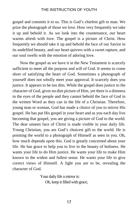gospel and commits it to us. This is God's chiefest gift to man. We prize the photograph of those we love. How very frequently we take it up and behold it. As we look into the countenance, our heart warms afresh with love. The gospel is a picture of Christ. How frequently we should take it up and behold the face of our Savior in its undefiled beauty, and our heart quivers with a sweet rapture, and our soul swells with the emotion of adoring love.

Now the gospel as we have it in the New Testament is scarcely sufficient to meet all the purpose and will of God. It seems to come short of satisfying the heart of God. Sometimes a photograph of yourself does not wholly meet your approval. It scarcely does you justice. It appears to be too dim. While the gospel does justice to the character of God, gives no dim picture of Him, yet there is a dimness in the eyes of the people and they cannot behold the face of God in the written Word as they can in the life of a Christian. Therefore, young man or woman, God has made a choice of you to mirror His gospel. He has put His gospel in your heart and as you each day live becoming that gospel, you are giving a picture of God to the world. The dear unseen face of Christ is made visible in your daily life. Young Christian, you are God's choicest gift to the world. He is pointing the world to a photograph of Himself as seen in you. Oh, how much depends upon this. God is greatly concerned about your life. He has grace to help you to live in the beauty of holiness. He wants your life to do Him justice. He wants your life to make Him known in the widest and fullest sense. He wants your life to give correct views of Himself. A light you are to be, revealing the character of God.

> Your daily life a mirror is: Oh, keep it filled with grace,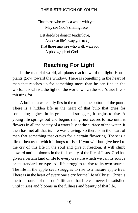That those who walk a while with you May see God's smiling face.

Let deeds be done in tender love, As down life's way you trod, That those may see who walk with you A photograph of God.

## **Reaching For Light**

In the material world, all plants reach toward the light. House plants grow toward the window. There is something in the heart of man that reaches up for something more than he can find in the world. It is Christ, the light of the world, which the soul's true life is thirsting for.

A bulb of a water-lily lies in the mud at the bottom of the pond. There is a hidden life in the heart of that bulb that cries for something higher. In its groans and struggles, it begins to rise. A young life springs out and begins rising, nor ceases to rise until it flowers in all the beauty of a water lily at the surface of the water. It then has met all that its life was craving. So there is in the heart of man that something that craves for a certain flowering. There is a life of beauty to which it longs to rise. If you will but give heed to the cry of this life in the soul and give it freedom, it will climb upward until it blooms in the full beauty of the life of Jesus. God has given a certain kind of life to every creature which we call its source or its standard, or type. All life struggles to rise to its own source. The life in the apple seed struggles to rise to a mature apple tree. There is in the heart of every one a cry for the life of Christ. Christ is the true source of the soul's life and that life can never be satisfied until it rises and blooms in the fullness and beauty of that life.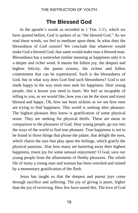## **The Blessed God**

In the apostle's words as recorded in 1 Tim. 1:11, which we have quoted before, God is spoken of as "the blessed God." As we read these words, we feel to meditate upon them. In what does the blessedness of God consist? We conclude that whatever would make God a blessed God, that same would make man a blessed man. Blessedness has a somewhat similar meaning as happiness only it is a deeper and richer word. It means the fullest joy, the deepest and highest felicity, the purest ecstasy, the richest and fullest contentment that can be experienced. Such is the blessedness of God, but in what way does God find such blessedness? God is not made happy in the way most men seek for happiness. Dear young people, this a lesson you need to learn. We feel so incapable of telling to you, as we would like, how you can be the most and truest blessed and happy. Oh, how our heart sickens as we see how men are trying to find happiness. This world is seeking after pleasure. The highest pleasure they know is gratification of some physical sense. They are seeking for physical thrills. These are mean in comparison to the pleasures of God. Dear young people, go not into the ways of the world to find true pleasure. True happiness is not to be found in those things that please the palate, that delight the eyes, which charm the ears that play upon the feelings, which gratify the physical passions. Alas how many are bartering away their highest happiness, truest joy for some sensual enjoyment! O God, save our young people from the allurements of fleshly pleasures. The whole life of many a young man and woman has been wrecked and ruined by a momentary gratification of the flesh.

Jesus has taught us that the deepest and purest joys come through sacrifice and suffering. The joy of giving is purer, higher than the joy of receiving. How few have tasted this. The love of God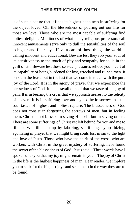is of such a nature that it finds its highest happiness in suffering for the object loved. Oh, the blessedness of pouring out our life for those we love! Those who are the most capable of suffering find holiest delights. Multitudes of what many religious professors call innocent amusements serve only to dull the sensibilities of the soul to higher and finer joys. Have a care of those things the world is calling innocent and educational. Beware lest they rob your soul of its sensitiveness to the touch of pity and sympathy for souls in the guilt of sin. Beware lest these sensual pleasures relieve your heart of its capability of being burdened for lost, wrecked and ruined men. It is not in the feast, but in the fast that we come in touch with the pure joy of the Lord. It is in the agony of prayer that we experience the blessedness of God. It is in travail of soul that we taste of the joy of pain. It is in bearing the cross that we approach nearest to the felicity of heaven. It is in suffering love and sympathetic sorrow that the soul tastes of highest and holiest rapture. The blessedness of God does not consist in forgetting the sorrows of men, but in feeling them. Christ is not blessed in saving Himself, but in saving others. There are some sufferings of Christ yet left behind for you and me to fill up. We fill them up by laboring, sacrificing, sympathizing, agonizing in prayer that we might bring souls lost in sin to the light and love of Jesus. Those who have the spirit of the cross, who are workers with Christ in the great mystery of suffering, have found the secret of the blessedness of God. Jesus said, "These words have I spoken unto you that my joy might remain in you." The joy of Christ in the life is the highest happiness of man. Dear reader, we implore you to seek for the highest joys and seek them in the way they are to be found.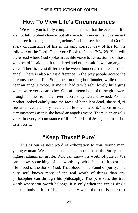## **How To View Life's Circumstances**

We want you to fully comprehend the fact that the events of life are not left to blind chance, but all come to us under the government and direction of a good and gracious God. To see the hand of God in every circumstance of life is the only correct view of life for the follower of the Lord. Open your Book to John 12:24-29. You will there read where God spoke in audible voice to Jesus. Some of those who heard it said that it thundered and others said it was an angel's voice. There is a vast difference between thunder and the voice of an angel. There is also a vast difference in the way people accept the circumstances of life. Some hear nothing but thunder, while others hear an angel's voice. A mother had two bright, lovely little girls which were very dear to her. One afternoon both of these girls were brought home from the river where they were drowned. As the mother looked calmly into the faces of her silent dead, she said, "I see God wants all my heart and He shall have it." Even in such circumstances as this she heard an angel's voice. There is an angel's voice in every circumstance of life. Dear Lord Jesus, help us all to listen for it.

## **"Keep Thyself Pure"**

This is our earnest word of exhortation to you, young man, young woman. We can make no higher appeal than this. Purity is the highest attainment in life. Who can know the worth of purity? We can know something of its worth by what it cost. It cost the life-blood of the Son of God. That blood is the Fount of purity. The pure soul knows more of the real worth of things than any philosopher can through his philosophy. The pure sees the true worth where true worth belongs. It is only when the eye is single that the body is full of light. It is only when the soul is pure that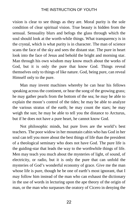vision is clear to see things as they are. Moral purity is the sole condition of clear spiritual vision. True beauty is hidden from the sensual. Sensuality blurs and befogs the glass through which the soul should look at the worth-while things. What transparency is in the crystal, which is what purity is in character. The man of science scans the face of the sky and sees the distant star. The pure in heart look into the face of Jesus and behold the bright and morning star. Man through his own wisdom may know much about the works of God, but it is only the pure that know God. Things reveal themselves only to things of like nature. God, being pure, can reveal Himself only to the pure.

Man may invent machines whereby he can hear his fellows speaking across the continent, or hear the song of the growing grass; he may gather pearls from the bottom of the sea; he may be able to explain the moon's control of the tides; he may be able to analyze the various stratus of the earth; he may count the stars; he may weigh the sun; he may be able to tell you the distance to Arcturus, but if he does not have a pure heart, he cannot know God.

Not philosophic minds, but pure lives are the world's best teachers. The poor widow in her mountain cabin who has God in her soul can tell you more about the best things of life than the president of a theological seminary who does not have God. The pure life is the guiding-star that leads the way to the worthwhile things of life. Men may teach you much about the mysteries of light, of sound, of electricity, or radio, but it is only the pure that can unfold the mysteries of God's wonderful economy of grace. Give me the man whose life is pure, though he be one of earth's most ignorant, that I may follow him instead of the man who can exhaust the dictionary in the use of words in lecturing upon the ape theory of the origin of man, or the man who surpasses the oratory of Cicero in denying the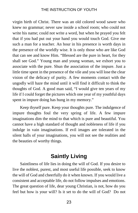virgin birth of Christ. There was an old colored wood sawer who knew no grammar; never saw inside a school room; who could not write his name; could not write a word, but when he prayed you felt that if you had put out your hand you would touch God. Give me such a man for a teacher. An hour in his presence is worth days in the presence of the worldly wise. It is only those who are like God that can see and know Him. "Blessed are the pure in heart, for they shall see God." Young man and young woman, we exhort you to associate with the pure. Shun the association of the impure. Just a little time spent in the presence of the vile and you will lose the clear vision of the delicacy of purity. A few moments contact with the ungodly will haze the mind until it will find it difficult to think the thoughts of God. A good man said, "I would give ten years of my life if I could forget the pictures which one year of my youthful days spent in impure doing has hung in my memory."

Keep thyself pure. Keep your thoughts pure. The indulgence of impure thoughts foul the very spring of life. A few impure imaginations dim the mind to that which is pure and beautiful. You cannot have a high standard of thought and nobleness of life if you indulge in vain imaginations. If evil images are tolerated in the silent halls of your imaginations, you will not see the realities and the beauties of worthy things.

## **Saintly Living**

Saintliness of life lies in doing the will of God. If you desire to live the noblest, purest, and most useful life possible, seek to know the will of God and cheerfully do it when known. If you would live a consistent and acceptable life, do not follow impulses and emotions. The great question of life, dear young Christian, is not, how do you feel but how is your will? Is it set to do the will of God? Do not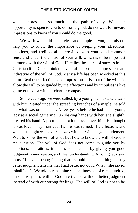watch impressions so much as the path of duty. When an opportunity is open to you to do some good, do not wait for inward impressions to know if you should do the good.

We wish we could make clear and simple to you, and also to help you to know the importance of keeping your affections, emotions, and feelings all intertwined with your good common sense and under the control of your will, which is to be in perfect harmony with the will of God. Here lies the secret of success in the Christian life. Do not think that your affections, and impressions are indicative of the will of God. Many a life has been wrecked at this point. Real true affections and impressions arise out of the will. To allow the will to be guided by the affections and by impulses is like going out to sea without chart or compass.

Some years ago we were called, by a young man, to take a walk with him. Seated under the spreading branches of a maple, he told me what was on his heart. A few years before he had met a young lady at a social gathering. On shaking hands with her, she slightly pressed his hand. A peculiar sensation passed over him. He thought it was love. They married. His life was ruined. His affections and what he thought was love ran away with his will and good judgment. Wait to know the will of God. But how to know the will of God is the question. The will of God does not come to guide you by emotions, sensations, impulses so much as by giving you good judgment, sound reason, and clear understanding. A young lady said to us, "I have a strong feeling that I should do such a thing but my better judgment tells me that I had better not do it. What," she asked, "shall I do?" We told her that ninety-nine times out of each hundred, if not always, the will of God intertwined with our better judgment instead of with our strong feelings. The will of God is not to be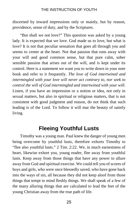discerned by inward impressions only or mainly, but by reason, providence, sense of duty, and by the Scriptures.

"But shall we not love?" This question was asked by a young lady. It is expected that we love. God made us to love, but what is love? It is not that peculiar sensation that goes all through you and seems to center at the heart. Not that passion that runs away with your will and good common sense, but that pure calm, sober sensible passion that arises out of the will, and is kept under its control. Here is a statement we want you to write down in your note book and refer to it frequently. *The love of God intertwined and intermingled with your love will never act contrary to, nor seek to control the will of God intermingled and intertwined with your will.*  Listen, if you have an impression or a notion or idea, not only in sexual matters, but also in spiritual or religious matters, that is not consistent with good judgment and reason, do not think that such leading is of the Lord. To follow it will mar the beauty of saintly living.

## **Fleeing Youthful Lusts**

Timothy was a young man. Paul knew the danger of young men being overcome by youthful lusts, therefore exhorts Timothy to "flee also youthful lusts." 2 Tim. 2:22. We, in much earnestness of heart, likewise exhort you, young reader, flee away from youthful lusts. Keep away from those things that have any power to allure away from God and spiritual exercise. We could tell you of scores of boys and girls, who were once blessedly saved, who have gone back into the ways of sin, all because they did not keep aloof from those things that tempt to mind fleshly things. We shall speak of a few of the many alluring things that are calculated to lead the feet of the young Christian away from the true path of life.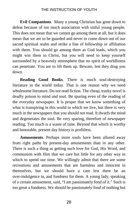**Evil Companions**. Many a young Christian has gone down to defeat because of too much association with sinful young people. This does not mean that we cannot go among them at all, but it does mean that we are to be guarded and never to come down out of our sacred spiritual realm and strike a line of fellowship or affiliation with them. You should go among them as God leads, which you might win them to Christ, but you will need to keep yourself surrounded by a heavenly atmosphere that no spirit of worldliness can penetrate. You are to lift them up. Beware, lest they drag you down.

**Reading Good Books**. There is much soul-destroying literature in the world today. That is one reason why we need wholesome literature. Do not read fiction. The cheap, trashy novel is deadly poison to mind and soul. Be sparing even of the reading of the everyday newspaper. It is proper that we know something of what is transpiring in this world in which we live, but there is very much in the newspapers that you should not read. It dwarfs the mind and degenerates the soul. Be very sparing, therefore of newspaper reading. Too much is a waste of time. Beyond that which is worthy and honorable, present day history is profitless.

**Amusements**. Perhaps more souls have been allured away from right paths by present-day amusements than in any other. There is such a thing as getting such love for God, His Word, and communion with Him that we care but little for any other way in which to spend our time. We willingly admit that there are some recreations and amusements that are harmless and innocent in themselves, but we should have a care lest there be an over-indulgence in, and fondness for them. A young lady, speaking of a certain amusement, said, "I am passionately fond of it." Such is too great a fondness. We should be passionately fond of nothing but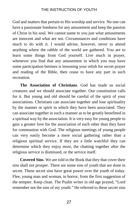God and matters that pertain to His worship and service. No one can have a passionate fondness for any amusement and keep the passion of Christ in his soul. We cannot name to you just what amusements are innocent and what are not. Circumstances and conditions have much to do with it. I would advise, however, never to attend anything where the rabble of the world are gathered. You are to learn some things from God yourself. Live much in prayer, whenever you find that any amusement in which you may have some participation betimes is lessoning your relish for secret prayer and reading of the Bible, then cease to have any part in such recreation.

**The Association of Christians**. God has made us social creatures and we should associate together. Our constitution calls for it. But young and old should be careful of the spirit of your associations. Christians can associate together and lose spirituality by the manner or spirit in which they have been associated. They can associate together in such a manner as to be greatly benefitted in a spiritual way by the association. It is very easy for young people to gain a greater love for the association of each other than they have for communion with God. The religious meetings of young people can very easily become a mere social gathering rather than a religious spiritual service. If they are a little watchful they can determine which they enjoy most, the chatting together after the religious service is dismissed, or the service itself.

**Covered Sins**. We are told in the Book that they that cover their sins shall not prosper. There are some sins of youth that are done in secret. These secret sins have great power over the youth of today. Flee, young man and woman, in horror, from the first suggestion of the tempter. Keep clean. The Psalm writer in old age prayed, "Lord remember not the sins of my youth." He referred to these secret sins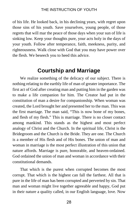of his life. He looked back, in his declining years, with regret upon those sins of his youth. Save yourselves, young people, of those regrets that will mar the peace of those days when your sun of life is sinking low. Keep your thoughts pure, your acts holy in the days of your youth. Follow after temperance, faith, meekness, purity, and righteousness. Walk close with God that you may have power over the flesh. We beseech you to heed this advice.

## **Courtship and Marriage**

We realize something of the delicacy of our subject. There is nothing relating to the earthly life of man of greater importance. The first act of God after creating man and putting him in the garden was to make a life companion for him. The Creator had put in the constitution of man a desire for companionship. When woman was created, the Lord brought her and presented her to the man. This was the first marriage. The man said, "This is now bone of my bones, and flesh of my flesh." This is marriage. There is no closer contact among mankind. This stands as the highest and most perfect analogy of Christ and the Church. In the spiritual life, Christ is the Bridegroom and the Church is the Bride. They are one. The Church is a member of His flesh and of His bones. The union of man and woman in marriage is the most perfect illustration of this union that nature affords. Marriage is pure, honorable, and heaven-ordained. God ordained the union of man and woman in accordance with their constitutional demands.

That which is the purest when corrupted becomes the most corrupt. That which is the highest can fall the farthest. All that is pure in the life of man has been corrupted and perverted by sin. That man and woman might live together agreeable and happy, God put in their nature a quality called, in our English language, love. Now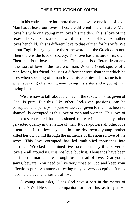man in his entire nature has more than one love or one kind of love. Man has at least four loves. These are different in their nature. Man loves his wife or a young man loves his maiden. This is love of the sexes. The Greek has a special word for this kind of love. A mother loves her child. This is different love to that of man for his wife. We in our English language use the same word, but the Greek does not. Then there is the love of society. This love has a nature of its own. Then man is to love his enemies. This again is different from any other sort of love in the nature of man. When a Greek speaks of a man loving his friend, he uses a different word than that which he uses when speaking of a man loving his enemies. This same is true when speaking of a young man loving his sister and a young man loving his maiden.

We are now to talk about the love of the sexes. This, as given of God, is pure. But this, like other God-given passions, can be corrupted, and perhaps no pure virtue ever given to man has been so shamefully corrupted as this love of man and woman. This love of the sexes corrupted has occasioned more crime than any other perverted quality in the nature of man. It over-powers all other love oftentimes. Just a few days ago in a nearby town a young mother killed her own child through the influence of this abused love of the sexes. This love corrupted has led multiplied thousands into marriage. Wrecked and ruined lives occasioned by this perverted love are all around us. It is not love, but lust. Thousands have been led into the married life through lust instead of love. Dear young saints, beware. You need to live very close to God and keep your affections pure. An amorous feeling may be very deceptive. It may become a clever counterfeit of love.

A young man asks, "Does God have a part in the matter of marriage? Will He select a companion for me?" Just as truly as He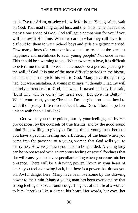made Eve for Adam, or selected a wife for Isaac. Young saints, wait on God. That mad thing called lust, and that is its name, has rushed many a one ahead of God. God will get a companion for you if you will but await His time. When two are in what they call love, it is difficult for them to wait. School boys and girls are getting married. How many times did you ever know such to result in the greatest happiness and usefulness to such young people? Not once in ten. This should be a warning to you. When two are in love, it is difficult to determine the will of God. There needs be a perfect yielding to the will of God. It is one of the most difficult periods in the history of man for him to yield his will to God. Many have thought they had, but were mistaken. A young man says, "I thought I had my will entirely surrendered to God, but when I prayed and my lips said, 'Lord Thy will be done,' my heart said, 'But give me Betty.' " Watch your heart, young Christian. Do not give too much heed to what the lips say. Listen to the heart beats. Does it beat in perfect unison with the will of God?

God wants you to be guided, not by your feelings, but by His providences, by the counsels of true friends, and by the good sound mind He is willing to give you. Do not think, young man, because you have a peculiar feeling and a fluttering of the heart when you come into the presence of a young woman that God wills you to marry her. How very much you need to be guarded. A young lady can be so possessed with an amorous feeling or sexual fondness that she will cause you to have a peculiar feeling when you come into her presence. There will be a drawing power. Down in your heart of hearts you feel a drawing back, but there is a power that draws you on. Awful danger here. Many have been overcome by this drawing power to their ruin. Many a young man has been overcome by that strong feeling of sexual fondness gushing out of the life of a woman to him. It strikes like a dart to his heart. Her words, her eyes, her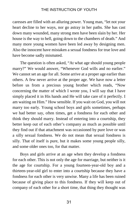caresses are filled with an alluring power. Young man, "let not your heart decline to her ways, nor go astray in her paths. She has cast down many wounded, many strong men have been slain by her. Her house is the way to hell, going down to the chambers of death." And many more young women have been led away by designing men. Also the innocent have mistaken a sexual fondness for true love and have become sadly mismated.

The question is often asked, "At what age should young people marry?" We would answer, "Whenever God wills and no earlier." We cannot set an age for all. Some arrive at a proper age earlier than others. A few never arrive at the proper age. We have now a letter before us from a precious young brother which reads, "Now concerning the matter of which I wrote you, I will say that I have simply placed it in His hands and He will take care of it perfectly. I am waiting on Him." How sensible. If you wait on God, you will not marry too early. Young school boys and girls sometimes, perhaps we had better say, often times, get a fondness for each other and think they should marry. Instead of entering into a courtship, they better keep out of each other's company as much as possible until they find out if that attachment was occasioned by pure love or was a silly sexual fondness. We do not mean that sexual fondness is silly. That of itself is pure, but it makes some young people silly, and some older ones too, for that matter.

Boys and girls arrive at an age when they develop a fondness for each other. This is not only the age for marriage, but neither is it the age for courtship. For a young fourteen-year-old boy and a thirteen-year-old girl to enter into a courtship because they have a fondness for each other is very unwise. Many a life has been ruined because of giving place to this fondness. If they will keep out of company of each other for a short time, that thing they thought was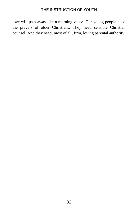love will pass away like a morning vapor. Our young people need the prayers of older Christians. They need sensible Christian counsel. And they need, most of all, firm, loving parental authority.